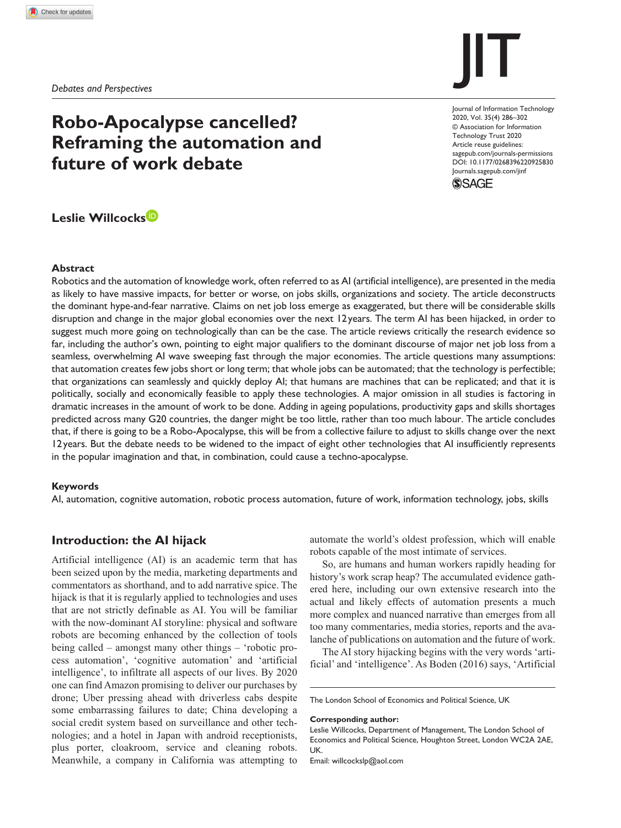# **Robo-Apocalypse cancelled? Reframing the automation and future of work debate**

# **Leslie Willcocks**

#### **Abstract**

Robotics and the automation of knowledge work, often referred to as AI (artificial intelligence), are presented in the media as likely to have massive impacts, for better or worse, on jobs skills, organizations and society. The article deconstructs the dominant hype-and-fear narrative. Claims on net job loss emerge as exaggerated, but there will be considerable skills disruption and change in the major global economies over the next 12years. The term AI has been hijacked, in order to suggest much more going on technologically than can be the case. The article reviews critically the research evidence so far, including the author's own, pointing to eight major qualifiers to the dominant discourse of major net job loss from a seamless, overwhelming AI wave sweeping fast through the major economies. The article questions many assumptions: that automation creates few jobs short or long term; that whole jobs can be automated; that the technology is perfectible; that organizations can seamlessly and quickly deploy AI; that humans are machines that can be replicated; and that it is politically, socially and economically feasible to apply these technologies. A major omission in all studies is factoring in dramatic increases in the amount of work to be done. Adding in ageing populations, productivity gaps and skills shortages predicted across many G20 countries, the danger might be too little, rather than too much labour. The article concludes that, if there is going to be a Robo-Apocalypse, this will be from a collective failure to adjust to skills change over the next 12years. But the debate needs to be widened to the impact of eight other technologies that AI insufficiently represents in the popular imagination and that, in combination, could cause a techno-apocalypse.

#### **Keywords**

AI, automation, cognitive automation, robotic process automation, future of work, information technology, jobs, skills

#### **Introduction: the AI hijack**

Artificial intelligence (AI) is an academic term that has been seized upon by the media, marketing departments and commentators as shorthand, and to add narrative spice. The hijack is that it is regularly applied to technologies and uses that are not strictly definable as AI. You will be familiar with the now-dominant AI storyline: physical and software robots are becoming enhanced by the collection of tools being called – amongst many other things – 'robotic process automation', 'cognitive automation' and 'artificial intelligence', to infiltrate all aspects of our lives. By 2020 one can find Amazon promising to deliver our purchases by drone; Uber pressing ahead with driverless cabs despite some embarrassing failures to date; China developing a social credit system based on surveillance and other technologies; and a hotel in Japan with android receptionists, plus porter, cloakroom, service and cleaning robots. Meanwhile, a company in California was attempting to automate the world's oldest profession, which will enable robots capable of the most intimate of services.

So, are humans and human workers rapidly heading for history's work scrap heap? The accumulated evidence gathered here, including our own extensive research into the actual and likely effects of automation presents a much more complex and nuanced narrative than emerges from all too many commentaries, media stories, reports and the avalanche of publications on automation and the future of work.

The AI story hijacking begins with the very words 'artificial' and 'intelligence'. As Boden (2016) says, 'Artificial

The London School of Economics and Political Science, UK

#### **Corresponding author:**

Leslie Willcocks, Department of Management, The London School of Economics and Political Science, Houghton Street, London WC2A 2AE, UK.

Email: willcockslp@aol.com

# DOI: 10.1177/0268396220925830 Journal of Information Technology 2020, Vol. 35(4) 286–302 © Association for Information Technology Trust 2020 Article reuse guidelines: sagepub.com/journals-permissions



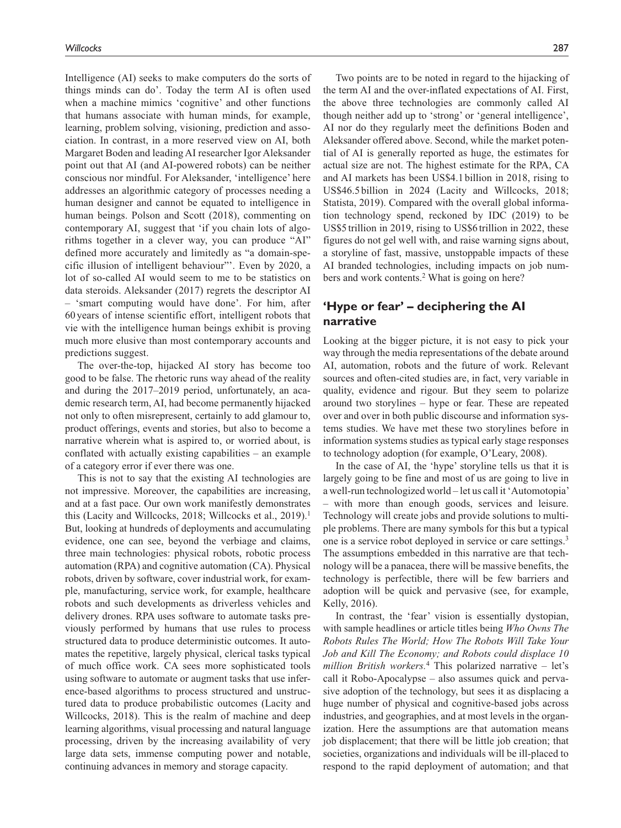Intelligence (AI) seeks to make computers do the sorts of things minds can do'. Today the term AI is often used when a machine mimics 'cognitive' and other functions that humans associate with human minds, for example, learning, problem solving, visioning, prediction and association. In contrast, in a more reserved view on AI, both Margaret Boden and leading AI researcher Igor Aleksander point out that AI (and AI-powered robots) can be neither conscious nor mindful. For Aleksander, 'intelligence' here addresses an algorithmic category of processes needing a human designer and cannot be equated to intelligence in human beings. Polson and Scott (2018), commenting on contemporary AI, suggest that 'if you chain lots of algorithms together in a clever way, you can produce "AI" defined more accurately and limitedly as "a domain-specific illusion of intelligent behaviour"'. Even by 2020, a lot of so-called AI would seem to me to be statistics on data steroids. Aleksander (2017) regrets the descriptor AI *–* 'smart computing would have done'. For him, after 60 years of intense scientific effort, intelligent robots that vie with the intelligence human beings exhibit is proving much more elusive than most contemporary accounts and predictions suggest.

The over-the-top, hijacked AI story has become too good to be false. The rhetoric runs way ahead of the reality and during the 2017–2019 period, unfortunately, an academic research term, AI, had become permanently hijacked not only to often misrepresent, certainly to add glamour to, product offerings, events and stories, but also to become a narrative wherein what is aspired to, or worried about, is conflated with actually existing capabilities – an example of a category error if ever there was one.

This is not to say that the existing AI technologies are not impressive. Moreover, the capabilities are increasing, and at a fast pace. Our own work manifestly demonstrates this (Lacity and Willcocks, 2018; Willcocks et al., 2019).<sup>1</sup> But, looking at hundreds of deployments and accumulating evidence, one can see, beyond the verbiage and claims, three main technologies: physical robots, robotic process automation (RPA) and cognitive automation (CA). Physical robots, driven by software, cover industrial work, for example, manufacturing, service work, for example, healthcare robots and such developments as driverless vehicles and delivery drones. RPA uses software to automate tasks previously performed by humans that use rules to process structured data to produce deterministic outcomes. It automates the repetitive, largely physical, clerical tasks typical of much office work. CA sees more sophisticated tools using software to automate or augment tasks that use inference-based algorithms to process structured and unstructured data to produce probabilistic outcomes (Lacity and Willcocks, 2018). This is the realm of machine and deep learning algorithms, visual processing and natural language processing, driven by the increasing availability of very large data sets, immense computing power and notable, continuing advances in memory and storage capacity.

Two points are to be noted in regard to the hijacking of the term AI and the over-inflated expectations of AI. First, the above three technologies are commonly called AI though neither add up to 'strong' or 'general intelligence', AI nor do they regularly meet the definitions Boden and Aleksander offered above. Second, while the market potential of AI is generally reported as huge, the estimates for actual size are not. The highest estimate for the RPA, CA and AI markets has been US\$4.1billion in 2018, rising to US\$46.5billion in 2024 (Lacity and Willcocks, 2018; Statista, 2019). Compared with the overall global information technology spend, reckoned by IDC (2019) to be US\$5trillion in 2019, rising to US\$6 trillion in 2022, these figures do not gel well with, and raise warning signs about, a storyline of fast, massive, unstoppable impacts of these AI branded technologies, including impacts on job numbers and work contents.<sup>2</sup> What is going on here?

# **'Hype or fear' – deciphering the AI narrative**

Looking at the bigger picture, it is not easy to pick your way through the media representations of the debate around AI, automation, robots and the future of work. Relevant sources and often-cited studies are, in fact, very variable in quality, evidence and rigour. But they seem to polarize around two storylines – hype or fear. These are repeated over and over in both public discourse and information systems studies. We have met these two storylines before in information systems studies as typical early stage responses to technology adoption (for example, O'Leary, 2008).

In the case of AI, the 'hype' storyline tells us that it is largely going to be fine and most of us are going to live in a well-run technologized world – let us call it 'Automotopia' – with more than enough goods, services and leisure. Technology will create jobs and provide solutions to multiple problems. There are many symbols for this but a typical one is a service robot deployed in service or care settings.<sup>3</sup> The assumptions embedded in this narrative are that technology will be a panacea, there will be massive benefits, the technology is perfectible, there will be few barriers and adoption will be quick and pervasive (see, for example, Kelly, 2016).

In contrast, the 'fear' vision is essentially dystopian, with sample headlines or article titles being *Who Owns The Robots Rules The World; How The Robots Will Take Your Job and Kill The Economy; and Robots could displace 10 million British workers.*<sup>4</sup> This polarized narrative – let's call it Robo-Apocalypse – also assumes quick and pervasive adoption of the technology, but sees it as displacing a huge number of physical and cognitive-based jobs across industries, and geographies, and at most levels in the organization. Here the assumptions are that automation means job displacement; that there will be little job creation; that societies, organizations and individuals will be ill-placed to respond to the rapid deployment of automation; and that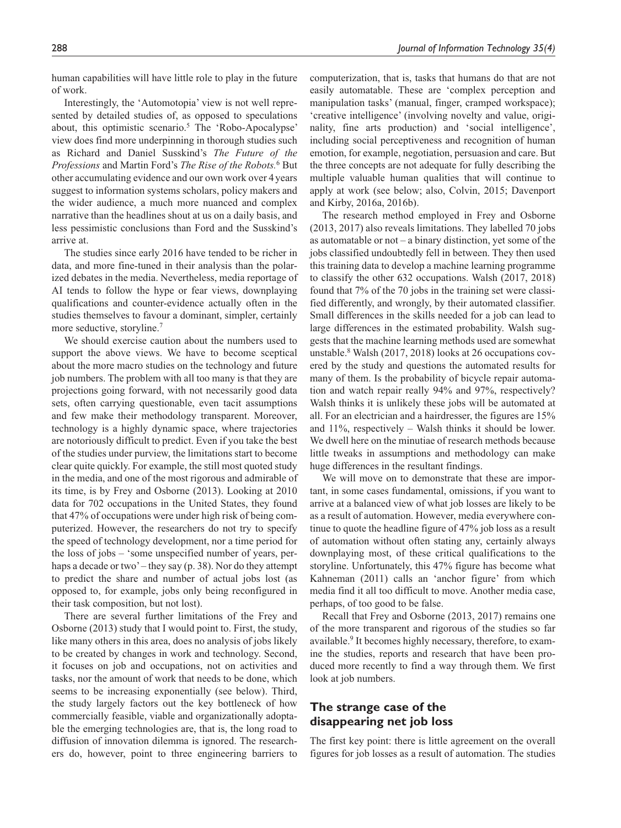human capabilities will have little role to play in the future of work.

Interestingly, the 'Automotopia' view is not well represented by detailed studies of, as opposed to speculations about, this optimistic scenario.<sup>5</sup> The 'Robo-Apocalypse' view does find more underpinning in thorough studies such as Richard and Daniel Susskind's *The Future of the Professions* and Martin Ford's *The Rise of the Robots.*<sup>6</sup> But other accumulating evidence and our own work over 4years suggest to information systems scholars, policy makers and the wider audience, a much more nuanced and complex narrative than the headlines shout at us on a daily basis, and less pessimistic conclusions than Ford and the Susskind's arrive at.

The studies since early 2016 have tended to be richer in data, and more fine-tuned in their analysis than the polarized debates in the media. Nevertheless, media reportage of AI tends to follow the hype or fear views, downplaying qualifications and counter-evidence actually often in the studies themselves to favour a dominant, simpler, certainly more seductive, storyline.7

We should exercise caution about the numbers used to support the above views. We have to become sceptical about the more macro studies on the technology and future job numbers. The problem with all too many is that they are projections going forward, with not necessarily good data sets, often carrying questionable, even tacit assumptions and few make their methodology transparent. Moreover, technology is a highly dynamic space, where trajectories are notoriously difficult to predict. Even if you take the best of the studies under purview, the limitations start to become clear quite quickly. For example, the still most quoted study in the media, and one of the most rigorous and admirable of its time, is by Frey and Osborne (2013). Looking at 2010 data for 702 occupations in the United States, they found that 47% of occupations were under high risk of being computerized. However, the researchers do not try to specify the speed of technology development, nor a time period for the loss of jobs – 'some unspecified number of years, perhaps a decade or two' – they say (p. 38). Nor do they attempt to predict the share and number of actual jobs lost (as opposed to, for example, jobs only being reconfigured in their task composition, but not lost).

There are several further limitations of the Frey and Osborne (2013) study that I would point to. First, the study, like many others in this area, does no analysis of jobs likely to be created by changes in work and technology. Second, it focuses on job and occupations, not on activities and tasks, nor the amount of work that needs to be done, which seems to be increasing exponentially (see below). Third, the study largely factors out the key bottleneck of how commercially feasible, viable and organizationally adoptable the emerging technologies are, that is, the long road to diffusion of innovation dilemma is ignored. The researchers do, however, point to three engineering barriers to computerization, that is, tasks that humans do that are not easily automatable. These are 'complex perception and manipulation tasks' (manual, finger, cramped workspace); 'creative intelligence' (involving novelty and value, originality, fine arts production) and 'social intelligence', including social perceptiveness and recognition of human emotion, for example, negotiation, persuasion and care. But the three concepts are not adequate for fully describing the multiple valuable human qualities that will continue to apply at work (see below; also, Colvin, 2015; Davenport and Kirby, 2016a, 2016b).

The research method employed in Frey and Osborne (2013, 2017) also reveals limitations. They labelled 70 jobs as automatable or not – a binary distinction, yet some of the jobs classified undoubtedly fell in between. They then used this training data to develop a machine learning programme to classify the other 632 occupations. Walsh (2017, 2018) found that 7% of the 70 jobs in the training set were classified differently, and wrongly, by their automated classifier. Small differences in the skills needed for a job can lead to large differences in the estimated probability. Walsh suggests that the machine learning methods used are somewhat unstable.<sup>8</sup> Walsh (2017, 2018) looks at 26 occupations covered by the study and questions the automated results for many of them. Is the probability of bicycle repair automation and watch repair really 94% and 97%, respectively? Walsh thinks it is unlikely these jobs will be automated at all. For an electrician and a hairdresser, the figures are 15% and 11%, respectively – Walsh thinks it should be lower. We dwell here on the minutiae of research methods because little tweaks in assumptions and methodology can make huge differences in the resultant findings.

We will move on to demonstrate that these are important, in some cases fundamental, omissions, if you want to arrive at a balanced view of what job losses are likely to be as a result of automation. However, media everywhere continue to quote the headline figure of 47% job loss as a result of automation without often stating any, certainly always downplaying most, of these critical qualifications to the storyline. Unfortunately, this 47% figure has become what Kahneman (2011) calls an 'anchor figure' from which media find it all too difficult to move. Another media case, perhaps, of too good to be false.

Recall that Frey and Osborne (2013, 2017) remains one of the more transparent and rigorous of the studies so far available.<sup>9</sup> It becomes highly necessary, therefore, to examine the studies, reports and research that have been produced more recently to find a way through them. We first look at job numbers.

#### **The strange case of the disappearing net job loss**

The first key point: there is little agreement on the overall figures for job losses as a result of automation. The studies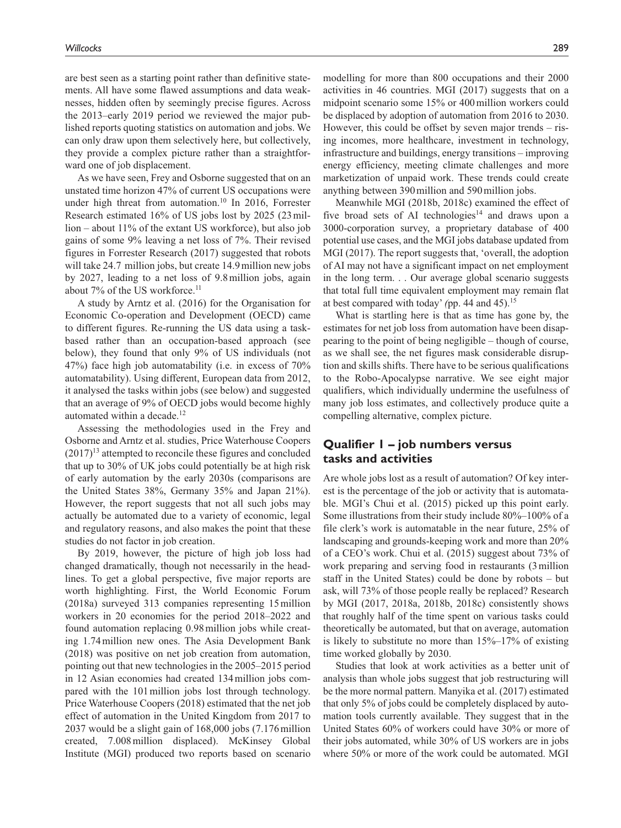are best seen as a starting point rather than definitive statements. All have some flawed assumptions and data weaknesses, hidden often by seemingly precise figures. Across the 2013–early 2019 period we reviewed the major published reports quoting statistics on automation and jobs. We can only draw upon them selectively here, but collectively, they provide a complex picture rather than a straightforward one of job displacement.

As we have seen, Frey and Osborne suggested that on an unstated time horizon 47% of current US occupations were under high threat from automation.<sup>10</sup> In 2016, Forrester Research estimated 16% of US jobs lost by 2025 (23million – about 11% of the extant US workforce), but also job gains of some 9% leaving a net loss of 7%. Their revised figures in Forrester Research (2017) suggested that robots will take 24.7 million jobs, but create 14.9 million new jobs by 2027, leading to a net loss of 9.8million jobs, again about 7% of the US workforce.<sup>11</sup>

A study by Arntz et al. (2016) for the Organisation for Economic Co-operation and Development (OECD) came to different figures. Re-running the US data using a taskbased rather than an occupation-based approach (see below), they found that only 9% of US individuals (not 47%) face high job automatability (i.e. in excess of 70% automatability). Using different, European data from 2012, it analysed the tasks within jobs (see below) and suggested that an average of 9% of OECD jobs would become highly automated within a decade.<sup>12</sup>

Assessing the methodologies used in the Frey and Osborne and Arntz et al. studies, Price Waterhouse Coopers  $(2017)^{13}$  attempted to reconcile these figures and concluded that up to 30% of UK jobs could potentially be at high risk of early automation by the early 2030s (comparisons are the United States 38%, Germany 35% and Japan 21%). However, the report suggests that not all such jobs may actually be automated due to a variety of economic, legal and regulatory reasons, and also makes the point that these studies do not factor in job creation.

By 2019, however, the picture of high job loss had changed dramatically, though not necessarily in the headlines. To get a global perspective, five major reports are worth highlighting. First, the World Economic Forum (2018a) surveyed 313 companies representing 15million workers in 20 economies for the period 2018–2022 and found automation replacing 0.98million jobs while creating 1.74million new ones. The Asia Development Bank (2018) was positive on net job creation from automation, pointing out that new technologies in the 2005–2015 period in 12 Asian economies had created 134million jobs compared with the 101million jobs lost through technology. Price Waterhouse Coopers (2018) estimated that the net job effect of automation in the United Kingdom from 2017 to 2037 would be a slight gain of 168,000 jobs (7.176million created, 7.008million displaced). McKinsey Global Institute (MGI) produced two reports based on scenario modelling for more than 800 occupations and their 2000 activities in 46 countries. MGI (2017) suggests that on a midpoint scenario some 15% or 400million workers could be displaced by adoption of automation from 2016 to 2030. However, this could be offset by seven major trends – rising incomes, more healthcare, investment in technology, infrastructure and buildings, energy transitions – improving energy efficiency, meeting climate challenges and more marketization of unpaid work. These trends could create anything between 390million and 590million jobs.

Meanwhile MGI (2018b, 2018c) examined the effect of five broad sets of AI technologies<sup>14</sup> and draws upon a 3000-corporation survey, a proprietary database of 400 potential use cases, and the MGI jobs database updated from MGI (2017). The report suggests that, 'overall, the adoption of AI may not have a significant impact on net employment in the long term. . . Our average global scenario suggests that total full time equivalent employment may remain flat at best compared with today' *(*pp. 44 and 45).15

What is startling here is that as time has gone by, the estimates for net job loss from automation have been disappearing to the point of being negligible – though of course, as we shall see, the net figures mask considerable disruption and skills shifts. There have to be serious qualifications to the Robo-Apocalypse narrative. We see eight major qualifiers, which individually undermine the usefulness of many job loss estimates, and collectively produce quite a compelling alternative, complex picture.

### **Qualifier 1 – job numbers versus tasks and activities**

Are whole jobs lost as a result of automation? Of key interest is the percentage of the job or activity that is automatable. MGI's Chui et al. (2015) picked up this point early. Some illustrations from their study include 80%–100% of a file clerk's work is automatable in the near future, 25% of landscaping and grounds-keeping work and more than 20% of a CEO's work. Chui et al. (2015) suggest about 73% of work preparing and serving food in restaurants (3million staff in the United States) could be done by robots – but ask, will 73% of those people really be replaced? Research by MGI (2017, 2018a, 2018b, 2018c) consistently shows that roughly half of the time spent on various tasks could theoretically be automated, but that on average, automation is likely to substitute no more than  $15\% - 17\%$  of existing time worked globally by 2030.

Studies that look at work activities as a better unit of analysis than whole jobs suggest that job restructuring will be the more normal pattern. Manyika et al. (2017) estimated that only 5% of jobs could be completely displaced by automation tools currently available. They suggest that in the United States 60% of workers could have 30% or more of their jobs automated, while 30% of US workers are in jobs where 50% or more of the work could be automated. MGI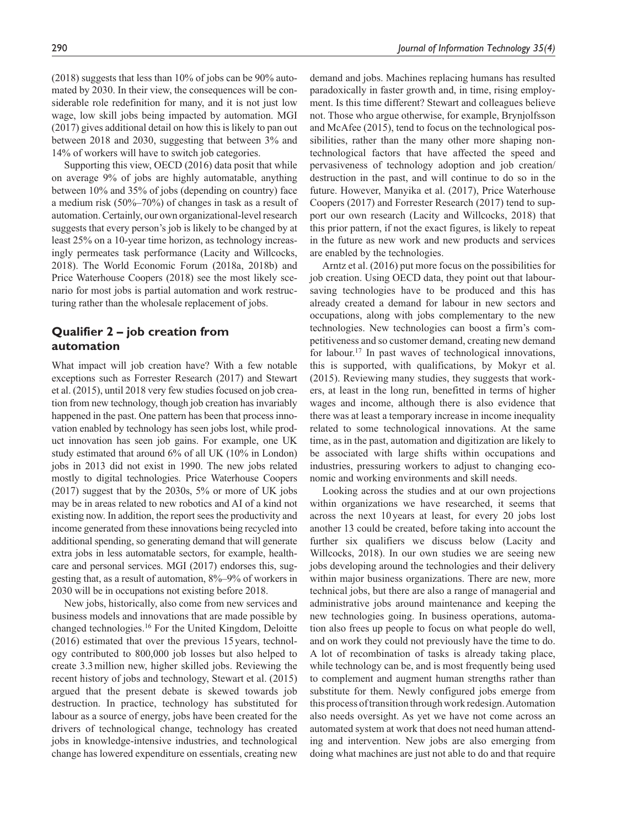(2018) suggests that less than 10% of jobs can be 90% automated by 2030. In their view, the consequences will be considerable role redefinition for many, and it is not just low wage, low skill jobs being impacted by automation. MGI (2017) gives additional detail on how this is likely to pan out between 2018 and 2030, suggesting that between 3% and 14% of workers will have to switch job categories.

Supporting this view, OECD (2016) data posit that while on average 9% of jobs are highly automatable, anything between 10% and 35% of jobs (depending on country) face a medium risk (50%–70%) of changes in task as a result of automation. Certainly, our own organizational-level research suggests that every person's job is likely to be changed by at least 25% on a 10-year time horizon, as technology increasingly permeates task performance (Lacity and Willcocks, 2018). The World Economic Forum (2018a, 2018b) and Price Waterhouse Coopers (2018) see the most likely scenario for most jobs is partial automation and work restructuring rather than the wholesale replacement of jobs.

### **Qualifier 2 – job creation from automation**

What impact will job creation have? With a few notable exceptions such as Forrester Research (2017) and Stewart et al. (2015), until 2018 very few studies focused on job creation from new technology, though job creation has invariably happened in the past. One pattern has been that process innovation enabled by technology has seen jobs lost, while product innovation has seen job gains. For example, one UK study estimated that around 6% of all UK (10% in London) jobs in 2013 did not exist in 1990. The new jobs related mostly to digital technologies. Price Waterhouse Coopers (2017) suggest that by the 2030s, 5% or more of UK jobs may be in areas related to new robotics and AI of a kind not existing now. In addition, the report sees the productivity and income generated from these innovations being recycled into additional spending, so generating demand that will generate extra jobs in less automatable sectors, for example, healthcare and personal services. MGI (2017) endorses this, suggesting that, as a result of automation, 8%–9% of workers in 2030 will be in occupations not existing before 2018.

New jobs, historically, also come from new services and business models and innovations that are made possible by changed technologies.16 For the United Kingdom, Deloitte (2016) estimated that over the previous 15 years, technology contributed to 800,000 job losses but also helped to create 3.3million new, higher skilled jobs. Reviewing the recent history of jobs and technology, Stewart et al. (2015) argued that the present debate is skewed towards job destruction. In practice, technology has substituted for labour as a source of energy, jobs have been created for the drivers of technological change, technology has created jobs in knowledge-intensive industries, and technological change has lowered expenditure on essentials, creating new demand and jobs. Machines replacing humans has resulted paradoxically in faster growth and, in time, rising employment. Is this time different? Stewart and colleagues believe not. Those who argue otherwise, for example, Brynjolfsson and McAfee (2015), tend to focus on the technological possibilities, rather than the many other more shaping nontechnological factors that have affected the speed and pervasiveness of technology adoption and job creation/ destruction in the past, and will continue to do so in the future. However, Manyika et al. (2017), Price Waterhouse Coopers (2017) and Forrester Research (2017) tend to support our own research (Lacity and Willcocks, 2018) that this prior pattern, if not the exact figures, is likely to repeat in the future as new work and new products and services are enabled by the technologies.

Arntz et al. (2016) put more focus on the possibilities for job creation. Using OECD data, they point out that laboursaving technologies have to be produced and this has already created a demand for labour in new sectors and occupations, along with jobs complementary to the new technologies. New technologies can boost a firm's competitiveness and so customer demand, creating new demand for labour.<sup>17</sup> In past waves of technological innovations, this is supported, with qualifications, by Mokyr et al. (2015). Reviewing many studies, they suggests that workers, at least in the long run, benefitted in terms of higher wages and income, although there is also evidence that there was at least a temporary increase in income inequality related to some technological innovations. At the same time, as in the past, automation and digitization are likely to be associated with large shifts within occupations and industries, pressuring workers to adjust to changing economic and working environments and skill needs.

Looking across the studies and at our own projections within organizations we have researched, it seems that across the next 10 years at least, for every 20 jobs lost another 13 could be created, before taking into account the further six qualifiers we discuss below (Lacity and Willcocks, 2018). In our own studies we are seeing new jobs developing around the technologies and their delivery within major business organizations. There are new, more technical jobs, but there are also a range of managerial and administrative jobs around maintenance and keeping the new technologies going. In business operations, automation also frees up people to focus on what people do well, and on work they could not previously have the time to do. A lot of recombination of tasks is already taking place, while technology can be, and is most frequently being used to complement and augment human strengths rather than substitute for them. Newly configured jobs emerge from this process of transition through work redesign. Automation also needs oversight. As yet we have not come across an automated system at work that does not need human attending and intervention. New jobs are also emerging from doing what machines are just not able to do and that require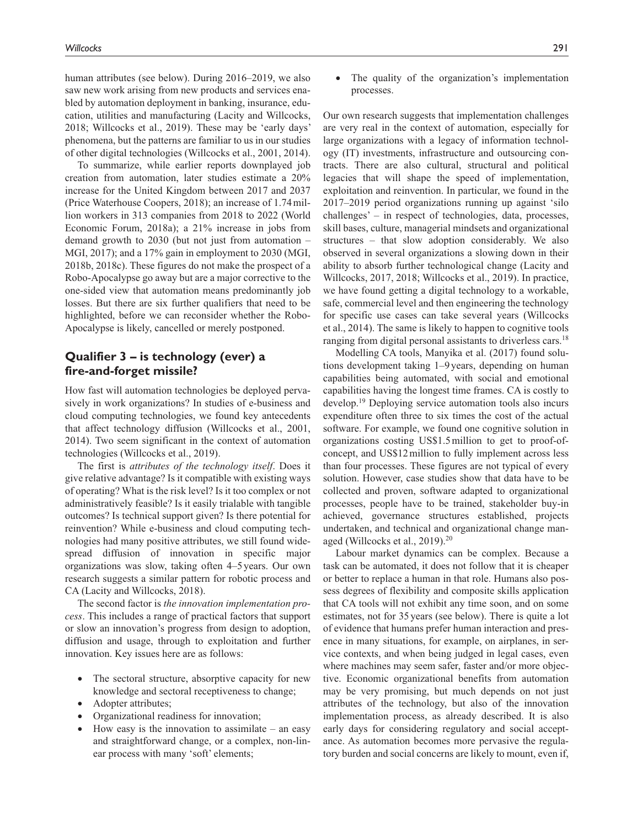human attributes (see below). During 2016–2019, we also saw new work arising from new products and services enabled by automation deployment in banking, insurance, education, utilities and manufacturing (Lacity and Willcocks, 2018; Willcocks et al., 2019). These may be 'early days' phenomena, but the patterns are familiar to us in our studies of other digital technologies (Willcocks et al., 2001, 2014).

To summarize, while earlier reports downplayed job creation from automation, later studies estimate a 20% increase for the United Kingdom between 2017 and 2037 (Price Waterhouse Coopers, 2018); an increase of 1.74million workers in 313 companies from 2018 to 2022 (World Economic Forum, 2018a); a 21% increase in jobs from demand growth to 2030 (but not just from automation – MGI, 2017); and a 17% gain in employment to 2030 (MGI, 2018b, 2018c). These figures do not make the prospect of a Robo-Apocalypse go away but are a major corrective to the one-sided view that automation means predominantly job losses. But there are six further qualifiers that need to be highlighted, before we can reconsider whether the Robo-Apocalypse is likely, cancelled or merely postponed.

### **Qualifier 3 – is technology (ever) a fire-and-forget missile?**

How fast will automation technologies be deployed pervasively in work organizations? In studies of e-business and cloud computing technologies, we found key antecedents that affect technology diffusion (Willcocks et al., 2001, 2014). Two seem significant in the context of automation technologies (Willcocks et al., 2019).

The first is *attributes of the technology itself*. Does it give relative advantage? Is it compatible with existing ways of operating? What is the risk level? Is it too complex or not administratively feasible? Is it easily trialable with tangible outcomes? Is technical support given? Is there potential for reinvention? While e-business and cloud computing technologies had many positive attributes, we still found widespread diffusion of innovation in specific major organizations was slow, taking often 4–5years. Our own research suggests a similar pattern for robotic process and CA (Lacity and Willcocks, 2018).

The second factor is *the innovation implementation process*. This includes a range of practical factors that support or slow an innovation's progress from design to adoption, diffusion and usage, through to exploitation and further innovation. Key issues here are as follows:

- The sectoral structure, absorptive capacity for new knowledge and sectoral receptiveness to change;
- Adopter attributes;
- Organizational readiness for innovation;
- How easy is the innovation to assimilate an easy and straightforward change, or a complex, non-linear process with many 'soft' elements;

• The quality of the organization's implementation processes.

Our own research suggests that implementation challenges are very real in the context of automation, especially for large organizations with a legacy of information technology (IT) investments, infrastructure and outsourcing contracts. There are also cultural, structural and political legacies that will shape the speed of implementation, exploitation and reinvention. In particular, we found in the 2017–2019 period organizations running up against 'silo challenges' – in respect of technologies, data, processes, skill bases, culture, managerial mindsets and organizational structures – that slow adoption considerably. We also observed in several organizations a slowing down in their ability to absorb further technological change (Lacity and Willcocks, 2017, 2018; Willcocks et al., 2019). In practice, we have found getting a digital technology to a workable, safe, commercial level and then engineering the technology for specific use cases can take several years (Willcocks et al., 2014). The same is likely to happen to cognitive tools ranging from digital personal assistants to driverless cars.<sup>18</sup>

Modelling CA tools, Manyika et al. (2017) found solutions development taking 1–9 years, depending on human capabilities being automated, with social and emotional capabilities having the longest time frames. CA is costly to develop.19 Deploying service automation tools also incurs expenditure often three to six times the cost of the actual software. For example, we found one cognitive solution in organizations costing US\$1.5million to get to proof-ofconcept, and US\$12million to fully implement across less than four processes. These figures are not typical of every solution. However, case studies show that data have to be collected and proven, software adapted to organizational processes, people have to be trained, stakeholder buy-in achieved, governance structures established, projects undertaken, and technical and organizational change managed (Willcocks et al., 2019).<sup>20</sup>

Labour market dynamics can be complex. Because a task can be automated, it does not follow that it is cheaper or better to replace a human in that role. Humans also possess degrees of flexibility and composite skills application that CA tools will not exhibit any time soon, and on some estimates, not for 35years (see below). There is quite a lot of evidence that humans prefer human interaction and presence in many situations, for example, on airplanes, in service contexts, and when being judged in legal cases, even where machines may seem safer, faster and/or more objective. Economic organizational benefits from automation may be very promising, but much depends on not just attributes of the technology, but also of the innovation implementation process, as already described. It is also early days for considering regulatory and social acceptance. As automation becomes more pervasive the regulatory burden and social concerns are likely to mount, even if,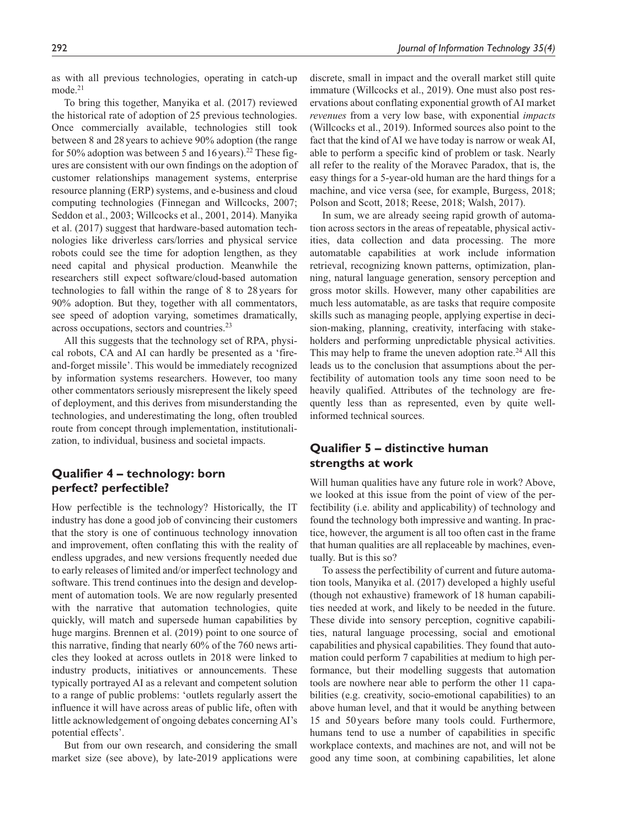as with all previous technologies, operating in catch-up  $mode.<sup>21</sup>$ 

To bring this together, Manyika et al. (2017) reviewed the historical rate of adoption of 25 previous technologies. Once commercially available, technologies still took between 8 and 28years to achieve 90% adoption (the range for 50% adoption was between 5 and 16 years).<sup>22</sup> These figures are consistent with our own findings on the adoption of customer relationships management systems, enterprise resource planning (ERP) systems, and e-business and cloud computing technologies (Finnegan and Willcocks, 2007; Seddon et al., 2003; Willcocks et al., 2001, 2014). Manyika et al. (2017) suggest that hardware-based automation technologies like driverless cars/lorries and physical service robots could see the time for adoption lengthen, as they need capital and physical production. Meanwhile the researchers still expect software/cloud-based automation technologies to fall within the range of 8 to 28years for 90% adoption. But they, together with all commentators, see speed of adoption varying, sometimes dramatically, across occupations, sectors and countries.<sup>23</sup>

All this suggests that the technology set of RPA, physical robots, CA and AI can hardly be presented as a 'fireand-forget missile'. This would be immediately recognized by information systems researchers. However, too many other commentators seriously misrepresent the likely speed of deployment, and this derives from misunderstanding the technologies, and underestimating the long, often troubled route from concept through implementation, institutionalization, to individual, business and societal impacts.

### **Qualifier 4 – technology: born perfect? perfectible?**

How perfectible is the technology? Historically, the IT industry has done a good job of convincing their customers that the story is one of continuous technology innovation and improvement, often conflating this with the reality of endless upgrades, and new versions frequently needed due to early releases of limited and/or imperfect technology and software. This trend continues into the design and development of automation tools. We are now regularly presented with the narrative that automation technologies, quite quickly, will match and supersede human capabilities by huge margins. Brennen et al. (2019) point to one source of this narrative, finding that nearly 60% of the 760 news articles they looked at across outlets in 2018 were linked to industry products, initiatives or announcements. These typically portrayed AI as a relevant and competent solution to a range of public problems: 'outlets regularly assert the influence it will have across areas of public life, often with little acknowledgement of ongoing debates concerning AI's potential effects'.

But from our own research, and considering the small market size (see above), by late-2019 applications were discrete, small in impact and the overall market still quite immature (Willcocks et al., 2019). One must also post reservations about conflating exponential growth of AI market *revenues* from a very low base, with exponential *impacts* (Willcocks et al., 2019). Informed sources also point to the fact that the kind of AI we have today is narrow or weak AI, able to perform a specific kind of problem or task. Nearly all refer to the reality of the Moravec Paradox, that is, the easy things for a 5-year-old human are the hard things for a machine, and vice versa (see, for example, Burgess, 2018; Polson and Scott, 2018; Reese, 2018; Walsh, 2017).

In sum, we are already seeing rapid growth of automation across sectors in the areas of repeatable, physical activities, data collection and data processing. The more automatable capabilities at work include information retrieval, recognizing known patterns, optimization, planning, natural language generation, sensory perception and gross motor skills. However, many other capabilities are much less automatable, as are tasks that require composite skills such as managing people, applying expertise in decision-making, planning, creativity, interfacing with stakeholders and performing unpredictable physical activities. This may help to frame the uneven adoption rate.<sup>24</sup> All this leads us to the conclusion that assumptions about the perfectibility of automation tools any time soon need to be heavily qualified. Attributes of the technology are frequently less than as represented, even by quite wellinformed technical sources.

### **Qualifier 5 – distinctive human strengths at work**

Will human qualities have any future role in work? Above, we looked at this issue from the point of view of the perfectibility (i.e. ability and applicability) of technology and found the technology both impressive and wanting. In practice, however, the argument is all too often cast in the frame that human qualities are all replaceable by machines, eventually. But is this so?

To assess the perfectibility of current and future automation tools, Manyika et al. (2017) developed a highly useful (though not exhaustive) framework of 18 human capabilities needed at work, and likely to be needed in the future. These divide into sensory perception, cognitive capabilities, natural language processing, social and emotional capabilities and physical capabilities. They found that automation could perform 7 capabilities at medium to high performance, but their modelling suggests that automation tools are nowhere near able to perform the other 11 capabilities (e.g. creativity, socio-emotional capabilities) to an above human level, and that it would be anything between 15 and 50 years before many tools could. Furthermore, humans tend to use a number of capabilities in specific workplace contexts, and machines are not, and will not be good any time soon, at combining capabilities, let alone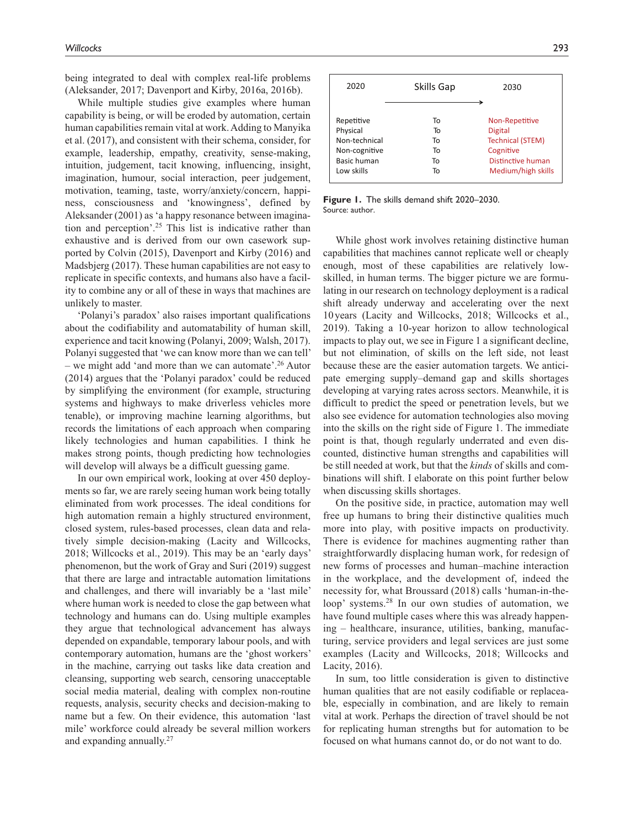being integrated to deal with complex real-life problems (Aleksander, 2017; Davenport and Kirby, 2016a, 2016b).

While multiple studies give examples where human capability is being, or will be eroded by automation, certain human capabilities remain vital at work. Adding to Manyika et al. (2017), and consistent with their schema, consider, for example, leadership, empathy, creativity, sense-making, intuition, judgement, tacit knowing, influencing, insight, imagination, humour, social interaction, peer judgement, motivation, teaming, taste, worry/anxiety/concern, happiness, consciousness and 'knowingness', defined by Aleksander (2001) as 'a happy resonance between imagination and perception'.25 This list is indicative rather than exhaustive and is derived from our own casework supported by Colvin (2015), Davenport and Kirby (2016) and Madsbjerg (2017). These human capabilities are not easy to replicate in specific contexts, and humans also have a facility to combine any or all of these in ways that machines are unlikely to master.

'Polanyi's paradox' also raises important qualifications about the codifiability and automatability of human skill, experience and tacit knowing (Polanyi, 2009; Walsh, 2017). Polanyi suggested that 'we can know more than we can tell' – we might add 'and more than we can automate'.<sup>26</sup> Autor (2014) argues that the 'Polanyi paradox' could be reduced by simplifying the environment (for example, structuring systems and highways to make driverless vehicles more tenable), or improving machine learning algorithms, but records the limitations of each approach when comparing likely technologies and human capabilities. I think he makes strong points, though predicting how technologies will develop will always be a difficult guessing game.

In our own empirical work, looking at over 450 deployments so far, we are rarely seeing human work being totally eliminated from work processes. The ideal conditions for high automation remain a highly structured environment, closed system, rules-based processes, clean data and relatively simple decision-making (Lacity and Willcocks, 2018; Willcocks et al., 2019). This may be an 'early days' phenomenon, but the work of Gray and Suri (2019) suggest that there are large and intractable automation limitations and challenges, and there will invariably be a 'last mile' where human work is needed to close the gap between what technology and humans can do. Using multiple examples they argue that technological advancement has always depended on expandable, temporary labour pools, and with contemporary automation, humans are the 'ghost workers' in the machine, carrying out tasks like data creation and cleansing, supporting web search, censoring unacceptable social media material, dealing with complex non-routine requests, analysis, security checks and decision-making to name but a few. On their evidence, this automation 'last mile' workforce could already be several million workers and expanding annually.27

| 2020          | Skills Gap | 2030                    |
|---------------|------------|-------------------------|
| Repetitive    | To         | Non-Repetitive          |
| Physical      | To         | <b>Digital</b>          |
| Non-technical | То         | <b>Technical (STEM)</b> |
| Non-cognitive | To         | Cognitive               |
| Basic human   | To         | Distinctive human       |
| Low skills    | To         | Medium/high skills      |

**Figure 1.** The skills demand shift 2020–2030. Source: author.

While ghost work involves retaining distinctive human capabilities that machines cannot replicate well or cheaply enough, most of these capabilities are relatively lowskilled, in human terms. The bigger picture we are formulating in our research on technology deployment is a radical shift already underway and accelerating over the next 10years (Lacity and Willcocks, 2018; Willcocks et al., 2019). Taking a 10-year horizon to allow technological impacts to play out, we see in Figure 1 a significant decline, but not elimination, of skills on the left side, not least because these are the easier automation targets. We anticipate emerging supply–demand gap and skills shortages developing at varying rates across sectors. Meanwhile, it is difficult to predict the speed or penetration levels, but we also see evidence for automation technologies also moving into the skills on the right side of Figure 1. The immediate point is that, though regularly underrated and even discounted, distinctive human strengths and capabilities will be still needed at work, but that the *kinds* of skills and combinations will shift. I elaborate on this point further below when discussing skills shortages.

On the positive side, in practice, automation may well free up humans to bring their distinctive qualities much more into play, with positive impacts on productivity. There is evidence for machines augmenting rather than straightforwardly displacing human work, for redesign of new forms of processes and human–machine interaction in the workplace, and the development of, indeed the necessity for, what Broussard (2018) calls 'human-in-theloop' systems.<sup>28</sup> In our own studies of automation, we have found multiple cases where this was already happening – healthcare, insurance, utilities, banking, manufacturing, service providers and legal services are just some examples (Lacity and Willcocks, 2018; Willcocks and Lacity, 2016).

In sum, too little consideration is given to distinctive human qualities that are not easily codifiable or replaceable, especially in combination, and are likely to remain vital at work. Perhaps the direction of travel should be not for replicating human strengths but for automation to be focused on what humans cannot do, or do not want to do.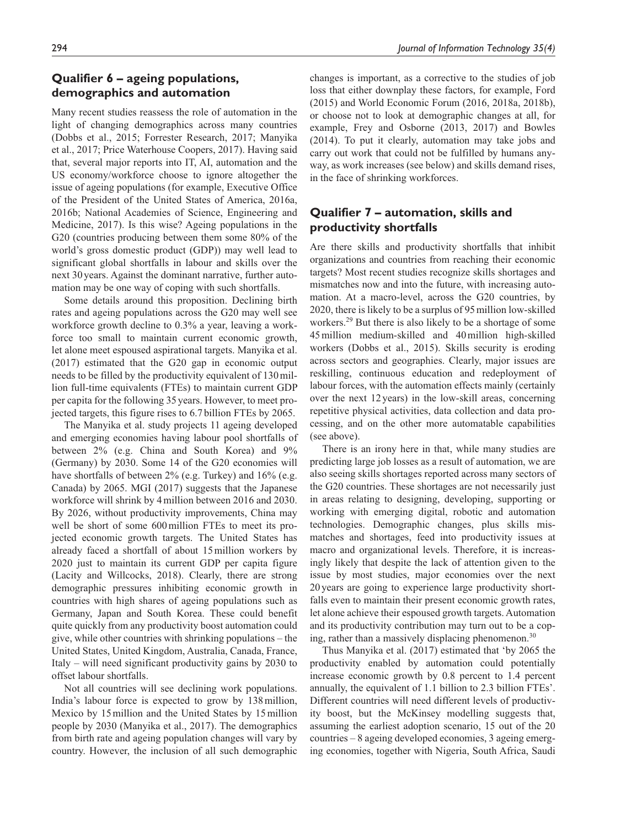# **Qualifier 6 – ageing populations, demographics and automation**

Many recent studies reassess the role of automation in the light of changing demographics across many countries (Dobbs et al., 2015; Forrester Research, 2017; Manyika et al., 2017; Price Waterhouse Coopers, 2017). Having said that, several major reports into IT, AI, automation and the US economy/workforce choose to ignore altogether the issue of ageing populations (for example, Executive Office of the President of the United States of America, 2016a, 2016b; National Academies of Science, Engineering and Medicine, 2017). Is this wise? Ageing populations in the G20 (countries producing between them some 80% of the world's gross domestic product (GDP)) may well lead to significant global shortfalls in labour and skills over the next 30years. Against the dominant narrative, further automation may be one way of coping with such shortfalls.

Some details around this proposition. Declining birth rates and ageing populations across the G20 may well see workforce growth decline to 0.3% a year, leaving a workforce too small to maintain current economic growth, let alone meet espoused aspirational targets. Manyika et al. (2017) estimated that the G20 gap in economic output needs to be filled by the productivity equivalent of 130million full-time equivalents (FTEs) to maintain current GDP per capita for the following 35 years. However, to meet projected targets, this figure rises to 6.7 billion FTEs by 2065.

The Manyika et al. study projects 11 ageing developed and emerging economies having labour pool shortfalls of between 2% (e.g. China and South Korea) and 9% (Germany) by 2030. Some 14 of the G20 economies will have shortfalls of between 2% (e.g. Turkey) and 16% (e.g. Canada) by 2065. MGI (2017) suggests that the Japanese workforce will shrink by 4million between 2016 and 2030. By 2026, without productivity improvements, China may well be short of some 600million FTEs to meet its projected economic growth targets. The United States has already faced a shortfall of about 15million workers by 2020 just to maintain its current GDP per capita figure (Lacity and Willcocks, 2018). Clearly, there are strong demographic pressures inhibiting economic growth in countries with high shares of ageing populations such as Germany, Japan and South Korea. These could benefit quite quickly from any productivity boost automation could give, while other countries with shrinking populations – the United States, United Kingdom, Australia, Canada, France, Italy – will need significant productivity gains by 2030 to offset labour shortfalls.

Not all countries will see declining work populations. India's labour force is expected to grow by 138million, Mexico by 15million and the United States by 15million people by 2030 (Manyika et al., 2017). The demographics from birth rate and ageing population changes will vary by country. However, the inclusion of all such demographic changes is important, as a corrective to the studies of job loss that either downplay these factors, for example, Ford (2015) and World Economic Forum (2016, 2018a, 2018b), or choose not to look at demographic changes at all, for example, Frey and Osborne (2013, 2017) and Bowles (2014). To put it clearly, automation may take jobs and carry out work that could not be fulfilled by humans anyway, as work increases (see below) and skills demand rises, in the face of shrinking workforces.

# **Qualifier 7 – automation, skills and productivity shortfalls**

Are there skills and productivity shortfalls that inhibit organizations and countries from reaching their economic targets? Most recent studies recognize skills shortages and mismatches now and into the future, with increasing automation. At a macro-level, across the G20 countries, by 2020, there is likely to be a surplus of 95million low-skilled workers.<sup>29</sup> But there is also likely to be a shortage of some 45million medium-skilled and 40million high-skilled workers (Dobbs et al., 2015). Skills security is eroding across sectors and geographies. Clearly, major issues are reskilling, continuous education and redeployment of labour forces, with the automation effects mainly (certainly over the next 12years) in the low-skill areas, concerning repetitive physical activities, data collection and data processing, and on the other more automatable capabilities (see above).

There is an irony here in that, while many studies are predicting large job losses as a result of automation, we are also seeing skills shortages reported across many sectors of the G20 countries. These shortages are not necessarily just in areas relating to designing, developing, supporting or working with emerging digital, robotic and automation technologies. Demographic changes, plus skills mismatches and shortages, feed into productivity issues at macro and organizational levels. Therefore, it is increasingly likely that despite the lack of attention given to the issue by most studies, major economies over the next 20 years are going to experience large productivity shortfalls even to maintain their present economic growth rates, let alone achieve their espoused growth targets. Automation and its productivity contribution may turn out to be a coping, rather than a massively displacing phenomenon.<sup>30</sup>

Thus Manyika et al. (2017) estimated that 'by 2065 the productivity enabled by automation could potentially increase economic growth by 0.8 percent to 1.4 percent annually, the equivalent of 1.1 billion to 2.3 billion FTEs'. Different countries will need different levels of productivity boost, but the McKinsey modelling suggests that, assuming the earliest adoption scenario, 15 out of the 20 countries – 8 ageing developed economies, 3 ageing emerging economies, together with Nigeria, South Africa, Saudi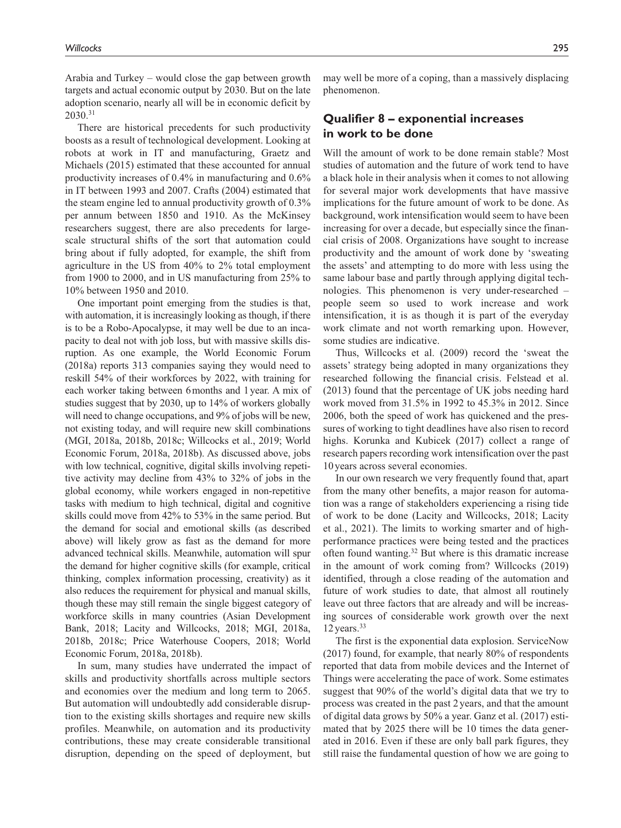Arabia and Turkey – would close the gap between growth targets and actual economic output by 2030. But on the late adoption scenario, nearly all will be in economic deficit by 2030.31

There are historical precedents for such productivity boosts as a result of technological development. Looking at robots at work in IT and manufacturing, Graetz and Michaels (2015) estimated that these accounted for annual productivity increases of 0.4% in manufacturing and 0.6% in IT between 1993 and 2007. Crafts (2004) estimated that the steam engine led to annual productivity growth of 0.3% per annum between 1850 and 1910. As the McKinsey researchers suggest, there are also precedents for largescale structural shifts of the sort that automation could bring about if fully adopted, for example, the shift from agriculture in the US from 40% to 2% total employment from 1900 to 2000, and in US manufacturing from 25% to 10% between 1950 and 2010.

One important point emerging from the studies is that, with automation, it is increasingly looking as though, if there is to be a Robo-Apocalypse, it may well be due to an incapacity to deal not with job loss, but with massive skills disruption. As one example, the World Economic Forum (2018a) reports 313 companies saying they would need to reskill 54% of their workforces by 2022, with training for each worker taking between 6months and 1year. A mix of studies suggest that by 2030, up to 14% of workers globally will need to change occupations, and 9% of jobs will be new, not existing today, and will require new skill combinations (MGI, 2018a, 2018b, 2018c; Willcocks et al., 2019; World Economic Forum, 2018a, 2018b). As discussed above, jobs with low technical, cognitive, digital skills involving repetitive activity may decline from 43% to 32% of jobs in the global economy, while workers engaged in non-repetitive tasks with medium to high technical, digital and cognitive skills could move from 42% to 53% in the same period. But the demand for social and emotional skills (as described above) will likely grow as fast as the demand for more advanced technical skills. Meanwhile, automation will spur the demand for higher cognitive skills (for example, critical thinking, complex information processing, creativity) as it also reduces the requirement for physical and manual skills, though these may still remain the single biggest category of workforce skills in many countries (Asian Development Bank, 2018; Lacity and Willcocks, 2018; MGI, 2018a, 2018b, 2018c; Price Waterhouse Coopers, 2018; World Economic Forum, 2018a, 2018b).

In sum, many studies have underrated the impact of skills and productivity shortfalls across multiple sectors and economies over the medium and long term to 2065. But automation will undoubtedly add considerable disruption to the existing skills shortages and require new skills profiles. Meanwhile, on automation and its productivity contributions, these may create considerable transitional disruption, depending on the speed of deployment, but

may well be more of a coping, than a massively displacing phenomenon.

#### **Qualifier 8 – exponential increases in work to be done**

Will the amount of work to be done remain stable? Most studies of automation and the future of work tend to have a black hole in their analysis when it comes to not allowing for several major work developments that have massive implications for the future amount of work to be done. As background, work intensification would seem to have been increasing for over a decade, but especially since the financial crisis of 2008. Organizations have sought to increase productivity and the amount of work done by 'sweating the assets' and attempting to do more with less using the same labour base and partly through applying digital technologies. This phenomenon is very under-researched – people seem so used to work increase and work intensification, it is as though it is part of the everyday work climate and not worth remarking upon. However, some studies are indicative.

Thus, Willcocks et al. (2009) record the 'sweat the assets' strategy being adopted in many organizations they researched following the financial crisis. Felstead et al. (2013) found that the percentage of UK jobs needing hard work moved from 31.5% in 1992 to 45.3% in 2012. Since 2006, both the speed of work has quickened and the pressures of working to tight deadlines have also risen to record highs. Korunka and Kubicek (2017) collect a range of research papers recording work intensification over the past 10years across several economies.

In our own research we very frequently found that, apart from the many other benefits, a major reason for automation was a range of stakeholders experiencing a rising tide of work to be done (Lacity and Willcocks, 2018; Lacity et al., 2021). The limits to working smarter and of highperformance practices were being tested and the practices often found wanting.32 But where is this dramatic increase in the amount of work coming from? Willcocks (2019) identified, through a close reading of the automation and future of work studies to date, that almost all routinely leave out three factors that are already and will be increasing sources of considerable work growth over the next  $12$  years.<sup>33</sup>

The first is the exponential data explosion. ServiceNow (2017) found, for example, that nearly 80% of respondents reported that data from mobile devices and the Internet of Things were accelerating the pace of work. Some estimates suggest that 90% of the world's digital data that we try to process was created in the past 2 years, and that the amount of digital data grows by 50% a year. Ganz et al. (2017) estimated that by 2025 there will be 10 times the data generated in 2016. Even if these are only ball park figures, they still raise the fundamental question of how we are going to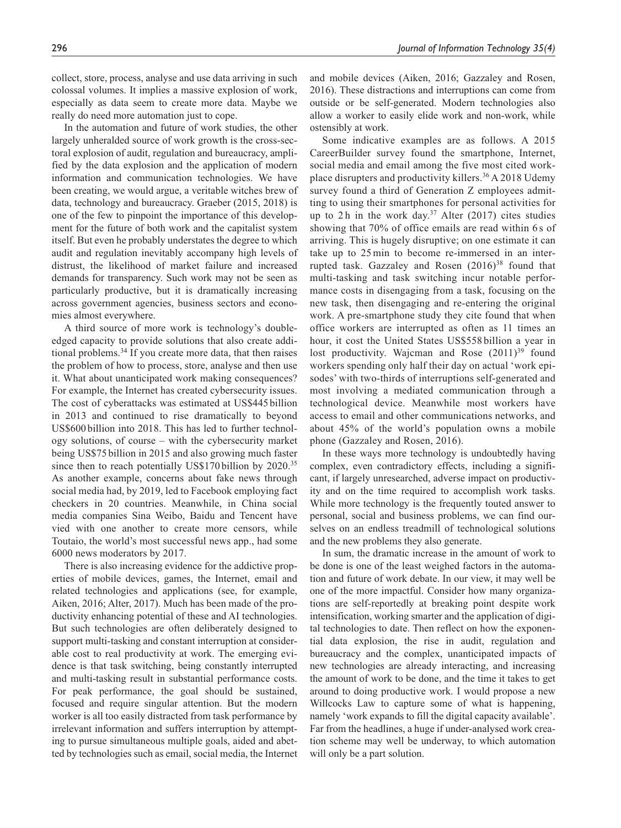In the automation and future of work studies, the other largely unheralded source of work growth is the cross-sectoral explosion of audit, regulation and bureaucracy, amplified by the data explosion and the application of modern information and communication technologies. We have been creating, we would argue, a veritable witches brew of data, technology and bureaucracy. Graeber (2015, 2018) is one of the few to pinpoint the importance of this development for the future of both work and the capitalist system itself. But even he probably understates the degree to which audit and regulation inevitably accompany high levels of distrust, the likelihood of market failure and increased demands for transparency. Such work may not be seen as particularly productive, but it is dramatically increasing across government agencies, business sectors and economies almost everywhere.

A third source of more work is technology's doubleedged capacity to provide solutions that also create additional problems.34 If you create more data, that then raises the problem of how to process, store, analyse and then use it. What about unanticipated work making consequences? For example, the Internet has created cybersecurity issues. The cost of cyberattacks was estimated at US\$445 billion in 2013 and continued to rise dramatically to beyond US\$600 billion into 2018. This has led to further technology solutions, of course – with the cybersecurity market being US\$75 billion in 2015 and also growing much faster since then to reach potentially US\$170 billion by 2020.<sup>35</sup> As another example, concerns about fake news through social media had, by 2019, led to Facebook employing fact checkers in 20 countries. Meanwhile, in China social media companies Sina Weibo, Baidu and Tencent have vied with one another to create more censors, while Toutaio, the world's most successful news app., had some 6000 news moderators by 2017.

There is also increasing evidence for the addictive properties of mobile devices, games, the Internet, email and related technologies and applications (see, for example, Aiken, 2016; Alter, 2017). Much has been made of the productivity enhancing potential of these and AI technologies. But such technologies are often deliberately designed to support multi-tasking and constant interruption at considerable cost to real productivity at work. The emerging evidence is that task switching, being constantly interrupted and multi-tasking result in substantial performance costs. For peak performance, the goal should be sustained, focused and require singular attention. But the modern worker is all too easily distracted from task performance by irrelevant information and suffers interruption by attempting to pursue simultaneous multiple goals, aided and abetted by technologies such as email, social media, the Internet and mobile devices (Aiken, 2016; Gazzaley and Rosen, 2016). These distractions and interruptions can come from outside or be self-generated. Modern technologies also allow a worker to easily elide work and non-work, while ostensibly at work.

Some indicative examples are as follows. A 2015 CareerBuilder survey found the smartphone, Internet, social media and email among the five most cited workplace disrupters and productivity killers.<sup>36</sup> A 2018 Udemy survey found a third of Generation Z employees admitting to using their smartphones for personal activities for up to 2 h in the work day.<sup>37</sup> Alter (2017) cites studies showing that 70% of office emails are read within 6 s of arriving. This is hugely disruptive; on one estimate it can take up to 25 min to become re-immersed in an interrupted task. Gazzaley and Rosen  $(2016)^{38}$  found that multi-tasking and task switching incur notable performance costs in disengaging from a task, focusing on the new task, then disengaging and re-entering the original work. A pre-smartphone study they cite found that when office workers are interrupted as often as 11 times an hour, it cost the United States US\$558 billion a year in lost productivity. Wajcman and Rose  $(2011)^{39}$  found workers spending only half their day on actual 'work episodes' with two-thirds of interruptions self-generated and most involving a mediated communication through a technological device. Meanwhile most workers have access to email and other communications networks, and about 45% of the world's population owns a mobile phone (Gazzaley and Rosen, 2016).

In these ways more technology is undoubtedly having complex, even contradictory effects, including a significant, if largely unresearched, adverse impact on productivity and on the time required to accomplish work tasks. While more technology is the frequently touted answer to personal, social and business problems, we can find ourselves on an endless treadmill of technological solutions and the new problems they also generate.

In sum, the dramatic increase in the amount of work to be done is one of the least weighed factors in the automation and future of work debate. In our view, it may well be one of the more impactful. Consider how many organizations are self-reportedly at breaking point despite work intensification, working smarter and the application of digital technologies to date. Then reflect on how the exponential data explosion, the rise in audit, regulation and bureaucracy and the complex, unanticipated impacts of new technologies are already interacting, and increasing the amount of work to be done, and the time it takes to get around to doing productive work. I would propose a new Willcocks Law to capture some of what is happening, namely 'work expands to fill the digital capacity available'. Far from the headlines, a huge if under-analysed work creation scheme may well be underway, to which automation will only be a part solution.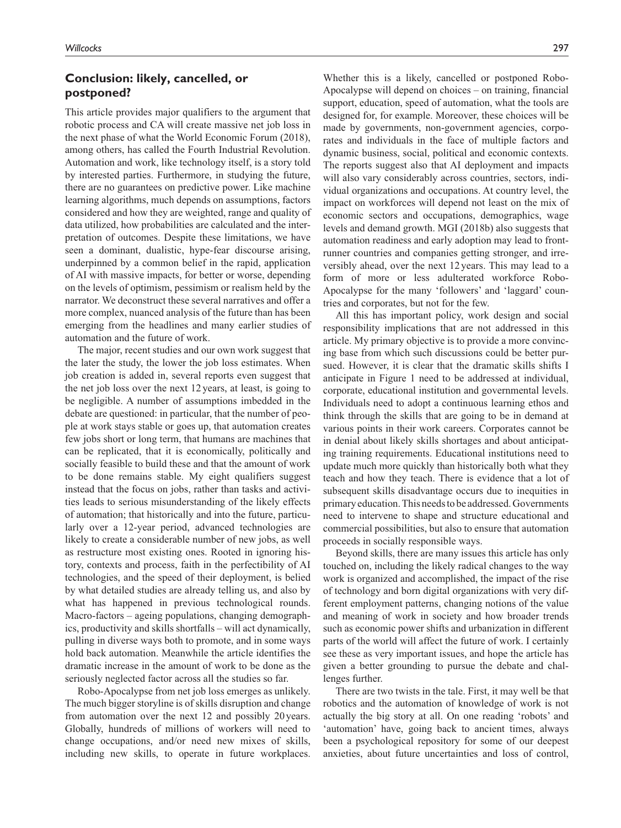## **Conclusion: likely, cancelled, or postponed?**

This article provides major qualifiers to the argument that robotic process and CA will create massive net job loss in the next phase of what the World Economic Forum (2018), among others, has called the Fourth Industrial Revolution. Automation and work, like technology itself, is a story told by interested parties. Furthermore, in studying the future, there are no guarantees on predictive power. Like machine learning algorithms, much depends on assumptions, factors considered and how they are weighted, range and quality of data utilized, how probabilities are calculated and the interpretation of outcomes. Despite these limitations, we have seen a dominant, dualistic, hype-fear discourse arising, underpinned by a common belief in the rapid, application of AI with massive impacts, for better or worse, depending on the levels of optimism, pessimism or realism held by the narrator. We deconstruct these several narratives and offer a more complex, nuanced analysis of the future than has been emerging from the headlines and many earlier studies of automation and the future of work.

The major, recent studies and our own work suggest that the later the study, the lower the job loss estimates. When job creation is added in, several reports even suggest that the net job loss over the next 12 years, at least, is going to be negligible. A number of assumptions imbedded in the debate are questioned: in particular, that the number of people at work stays stable or goes up, that automation creates few jobs short or long term, that humans are machines that can be replicated, that it is economically, politically and socially feasible to build these and that the amount of work to be done remains stable. My eight qualifiers suggest instead that the focus on jobs, rather than tasks and activities leads to serious misunderstanding of the likely effects of automation; that historically and into the future, particularly over a 12-year period, advanced technologies are likely to create a considerable number of new jobs, as well as restructure most existing ones. Rooted in ignoring history, contexts and process, faith in the perfectibility of AI technologies, and the speed of their deployment, is belied by what detailed studies are already telling us, and also by what has happened in previous technological rounds. Macro-factors – ageing populations, changing demographics, productivity and skills shortfalls – will act dynamically, pulling in diverse ways both to promote, and in some ways hold back automation. Meanwhile the article identifies the dramatic increase in the amount of work to be done as the seriously neglected factor across all the studies so far.

Robo-Apocalypse from net job loss emerges as unlikely. The much bigger storyline is of skills disruption and change from automation over the next 12 and possibly 20 years. Globally, hundreds of millions of workers will need to change occupations, and/or need new mixes of skills, including new skills, to operate in future workplaces. Whether this is a likely, cancelled or postponed Robo-Apocalypse will depend on choices – on training, financial support, education, speed of automation, what the tools are designed for, for example. Moreover, these choices will be made by governments, non-government agencies, corporates and individuals in the face of multiple factors and dynamic business, social, political and economic contexts. The reports suggest also that AI deployment and impacts will also vary considerably across countries, sectors, individual organizations and occupations. At country level, the impact on workforces will depend not least on the mix of economic sectors and occupations, demographics, wage levels and demand growth. MGI (2018b) also suggests that automation readiness and early adoption may lead to frontrunner countries and companies getting stronger, and irreversibly ahead, over the next 12 years. This may lead to a form of more or less adulterated workforce Robo-Apocalypse for the many 'followers' and 'laggard' countries and corporates, but not for the few.

All this has important policy, work design and social responsibility implications that are not addressed in this article. My primary objective is to provide a more convincing base from which such discussions could be better pursued. However, it is clear that the dramatic skills shifts I anticipate in Figure 1 need to be addressed at individual, corporate, educational institution and governmental levels. Individuals need to adopt a continuous learning ethos and think through the skills that are going to be in demand at various points in their work careers. Corporates cannot be in denial about likely skills shortages and about anticipating training requirements. Educational institutions need to update much more quickly than historically both what they teach and how they teach. There is evidence that a lot of subsequent skills disadvantage occurs due to inequities in primary education. This needs to be addressed. Governments need to intervene to shape and structure educational and commercial possibilities, but also to ensure that automation proceeds in socially responsible ways.

Beyond skills, there are many issues this article has only touched on, including the likely radical changes to the way work is organized and accomplished, the impact of the rise of technology and born digital organizations with very different employment patterns, changing notions of the value and meaning of work in society and how broader trends such as economic power shifts and urbanization in different parts of the world will affect the future of work. I certainly see these as very important issues, and hope the article has given a better grounding to pursue the debate and challenges further.

There are two twists in the tale. First, it may well be that robotics and the automation of knowledge of work is not actually the big story at all. On one reading 'robots' and 'automation' have, going back to ancient times, always been a psychological repository for some of our deepest anxieties, about future uncertainties and loss of control,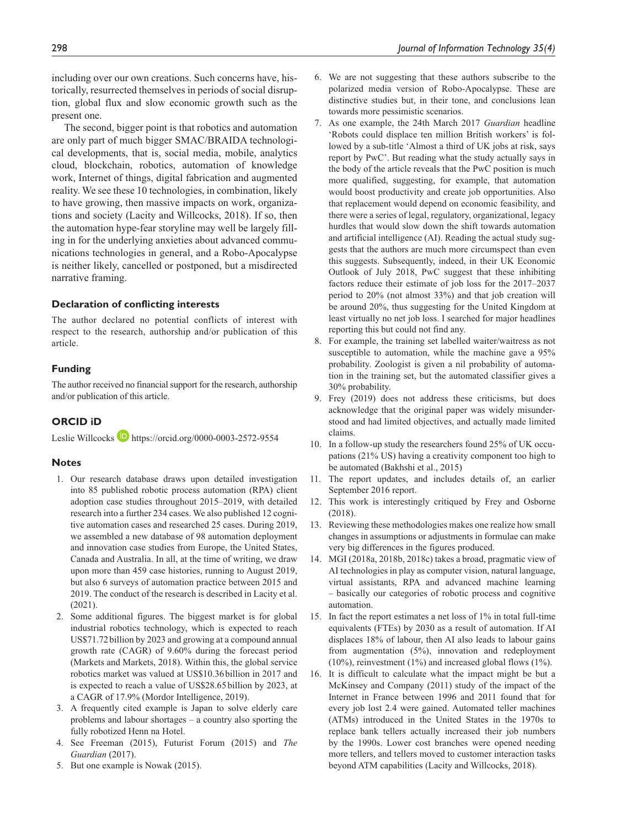including over our own creations. Such concerns have, historically, resurrected themselves in periods of social disruption, global flux and slow economic growth such as the present one.

The second, bigger point is that robotics and automation are only part of much bigger SMAC/BRAIDA technological developments, that is, social media, mobile, analytics cloud, blockchain, robotics, automation of knowledge work, Internet of things, digital fabrication and augmented reality. We see these 10 technologies, in combination, likely to have growing, then massive impacts on work, organizations and society (Lacity and Willcocks, 2018). If so, then the automation hype-fear storyline may well be largely filling in for the underlying anxieties about advanced communications technologies in general, and a Robo-Apocalypse is neither likely, cancelled or postponed, but a misdirected narrative framing.

#### **Declaration of conflicting interests**

The author declared no potential conflicts of interest with respect to the research, authorship and/or publication of this article.

#### **Funding**

The author received no financial support for the research, authorship and/or publication of this article.

#### **ORCID iD**

Leslie Willcocks **h**ttps://orcid.org/0000-0003-2572-9554

#### **Notes**

- 1. Our research database draws upon detailed investigation into 85 published robotic process automation (RPA) client adoption case studies throughout 2015–2019, with detailed research into a further 234 cases. We also published 12 cognitive automation cases and researched 25 cases. During 2019, we assembled a new database of 98 automation deployment and innovation case studies from Europe, the United States, Canada and Australia. In all, at the time of writing, we draw upon more than 459 case histories, running to August 2019, but also 6 surveys of automation practice between 2015 and 2019. The conduct of the research is described in Lacity et al. (2021).
- 2. Some additional figures. The biggest market is for global industrial robotics technology, which is expected to reach US\$71.72billion by 2023 and growing at a compound annual growth rate (CAGR) of 9.60% during the forecast period (Markets and Markets, 2018). Within this, the global service robotics market was valued at US\$10.36billion in 2017 and is expected to reach a value of US\$28.65billion by 2023, at a CAGR of 17.9% (Mordor Intelligence, 2019).
- 3. A frequently cited example is Japan to solve elderly care problems and labour shortages – a country also sporting the fully robotized Henn na Hotel.
- 4. See Freeman (2015), Futurist Forum (2015) and *The Guardian* (2017).
- 5. But one example is Nowak (2015).
- 6. We are not suggesting that these authors subscribe to the polarized media version of Robo-Apocalypse. These are distinctive studies but, in their tone, and conclusions lean towards more pessimistic scenarios.
- 7. As one example, the 24th March 2017 *Guardian* headline 'Robots could displace ten million British workers' is followed by a sub-title 'Almost a third of UK jobs at risk, says report by PwC'. But reading what the study actually says in the body of the article reveals that the PwC position is much more qualified, suggesting, for example, that automation would boost productivity and create job opportunities. Also that replacement would depend on economic feasibility, and there were a series of legal, regulatory, organizational, legacy hurdles that would slow down the shift towards automation and artificial intelligence (AI). Reading the actual study suggests that the authors are much more circumspect than even this suggests. Subsequently, indeed, in their UK Economic Outlook of July 2018, PwC suggest that these inhibiting factors reduce their estimate of job loss for the 2017–2037 period to 20% (not almost 33%) and that job creation will be around 20%, thus suggesting for the United Kingdom at least virtually no net job loss. I searched for major headlines reporting this but could not find any.
- 8. For example, the training set labelled waiter/waitress as not susceptible to automation, while the machine gave a 95% probability. Zoologist is given a nil probability of automation in the training set, but the automated classifier gives a 30% probability.
- 9. Frey (2019) does not address these criticisms, but does acknowledge that the original paper was widely misunderstood and had limited objectives, and actually made limited claims.
- 10. In a follow-up study the researchers found 25% of UK occupations (21% US) having a creativity component too high to be automated (Bakhshi et al., 2015)
- 11. The report updates, and includes details of, an earlier September 2016 report.
- 12. This work is interestingly critiqued by Frey and Osborne (2018).
- 13. Reviewing these methodologies makes one realize how small changes in assumptions or adjustments in formulae can make very big differences in the figures produced.
- 14. MGI (2018a, 2018b, 2018c) takes a broad, pragmatic view of AI technologies in play as computer vision, natural language, virtual assistants, RPA and advanced machine learning – basically our categories of robotic process and cognitive automation.
- 15. In fact the report estimates a net loss of 1% in total full-time equivalents (FTEs) by 2030 as a result of automation. If AI displaces 18% of labour, then AI also leads to labour gains from augmentation (5%), innovation and redeployment (10%), reinvestment (1%) and increased global flows (1%).
- 16. It is difficult to calculate what the impact might be but a McKinsey and Company (2011) study of the impact of the Internet in France between 1996 and 2011 found that for every job lost 2.4 were gained. Automated teller machines (ATMs) introduced in the United States in the 1970s to replace bank tellers actually increased their job numbers by the 1990s. Lower cost branches were opened needing more tellers, and tellers moved to customer interaction tasks beyond ATM capabilities (Lacity and Willcocks, 2018).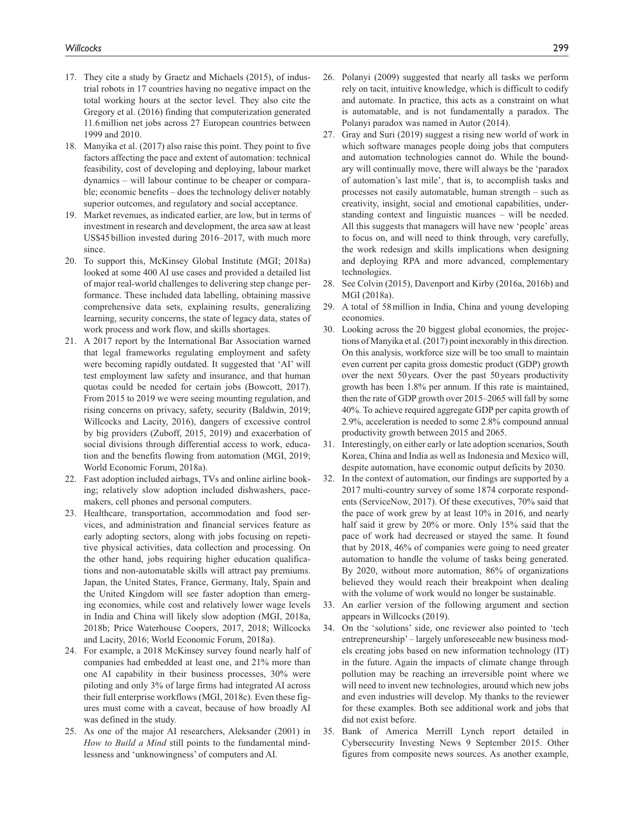- 17. They cite a study by Graetz and Michaels (2015), of industrial robots in 17 countries having no negative impact on the total working hours at the sector level. They also cite the Gregory et al. (2016) finding that computerization generated 11.6million net jobs across 27 European countries between 1999 and 2010.
- 18. Manyika et al. (2017) also raise this point. They point to five factors affecting the pace and extent of automation: technical feasibility, cost of developing and deploying, labour market dynamics – will labour continue to be cheaper or comparable; economic benefits – does the technology deliver notably superior outcomes, and regulatory and social acceptance.
- 19. Market revenues, as indicated earlier, are low, but in terms of investment in research and development, the area saw at least US\$45 billion invested during 2016–2017, with much more since.
- 20. To support this, McKinsey Global Institute (MGI; 2018a) looked at some 400 AI use cases and provided a detailed list of major real-world challenges to delivering step change performance. These included data labelling, obtaining massive comprehensive data sets, explaining results, generalizing learning, security concerns, the state of legacy data, states of work process and work flow, and skills shortages.
- 21. A 2017 report by the International Bar Association warned that legal frameworks regulating employment and safety were becoming rapidly outdated. It suggested that 'AI' will test employment law safety and insurance, and that human quotas could be needed for certain jobs (Bowcott, 2017). From 2015 to 2019 we were seeing mounting regulation, and rising concerns on privacy, safety, security (Baldwin, 2019; Willcocks and Lacity, 2016), dangers of excessive control by big providers (Zuboff, 2015, 2019) and exacerbation of social divisions through differential access to work, education and the benefits flowing from automation (MGI, 2019; World Economic Forum, 2018a).
- 22. Fast adoption included airbags, TVs and online airline booking; relatively slow adoption included dishwashers, pacemakers, cell phones and personal computers.
- 23. Healthcare, transportation, accommodation and food services, and administration and financial services feature as early adopting sectors, along with jobs focusing on repetitive physical activities, data collection and processing. On the other hand, jobs requiring higher education qualifications and non-automatable skills will attract pay premiums. Japan, the United States, France, Germany, Italy, Spain and the United Kingdom will see faster adoption than emerging economies, while cost and relatively lower wage levels in India and China will likely slow adoption (MGI, 2018a, 2018b; Price Waterhouse Coopers, 2017, 2018; Willcocks and Lacity, 2016; World Economic Forum, 2018a).
- 24. For example, a 2018 McKinsey survey found nearly half of companies had embedded at least one, and 21% more than one AI capability in their business processes, 30% were piloting and only 3% of large firms had integrated AI across their full enterprise workflows (MGI, 2018c). Even these figures must come with a caveat, because of how broadly AI was defined in the study.
- 25. As one of the major AI researchers, Aleksander (2001) in *How to Build a Mind* still points to the fundamental mindlessness and 'unknowingness' of computers and AI.
- 26. Polanyi (2009) suggested that nearly all tasks we perform rely on tacit, intuitive knowledge, which is difficult to codify and automate. In practice, this acts as a constraint on what is automatable, and is not fundamentally a paradox. The Polanyi paradox was named in Autor (2014).
- 27. Gray and Suri (2019) suggest a rising new world of work in which software manages people doing jobs that computers and automation technologies cannot do. While the boundary will continually move, there will always be the 'paradox of automation's last mile', that is, to accomplish tasks and processes not easily automatable, human strength – such as creativity, insight, social and emotional capabilities, understanding context and linguistic nuances – will be needed. All this suggests that managers will have new 'people' areas to focus on, and will need to think through, very carefully, the work redesign and skills implications when designing and deploying RPA and more advanced, complementary technologies.
- 28. See Colvin (2015), Davenport and Kirby (2016a, 2016b) and MGI (2018a).
- 29. A total of 58million in India, China and young developing economies.
- 30. Looking across the 20 biggest global economies, the projections of Manyika et al. (2017) point inexorably in this direction. On this analysis, workforce size will be too small to maintain even current per capita gross domestic product (GDP) growth over the next 50years. Over the past 50years productivity growth has been 1.8% per annum. If this rate is maintained, then the rate of GDP growth over 2015–2065 will fall by some 40%. To achieve required aggregate GDP per capita growth of 2.9%, acceleration is needed to some 2.8% compound annual productivity growth between 2015 and 2065.
- 31. Interestingly, on either early or late adoption scenarios, South Korea, China and India as well as Indonesia and Mexico will, despite automation, have economic output deficits by 2030.
- 32. In the context of automation, our findings are supported by a 2017 multi-country survey of some 1874 corporate respondents (ServiceNow, 2017). Of these executives, 70% said that the pace of work grew by at least 10% in 2016, and nearly half said it grew by 20% or more. Only 15% said that the pace of work had decreased or stayed the same. It found that by 2018, 46% of companies were going to need greater automation to handle the volume of tasks being generated. By 2020, without more automation, 86% of organizations believed they would reach their breakpoint when dealing with the volume of work would no longer be sustainable.
- 33. An earlier version of the following argument and section appears in Willcocks (2019).
- 34. On the 'solutions' side, one reviewer also pointed to 'tech entrepreneurship' – largely unforeseeable new business models creating jobs based on new information technology (IT) in the future. Again the impacts of climate change through pollution may be reaching an irreversible point where we will need to invent new technologies, around which new jobs and even industries will develop. My thanks to the reviewer for these examples. Both see additional work and jobs that did not exist before.
- 35. Bank of America Merrill Lynch report detailed in Cybersecurity Investing News 9 September 2015. Other figures from composite news sources. As another example,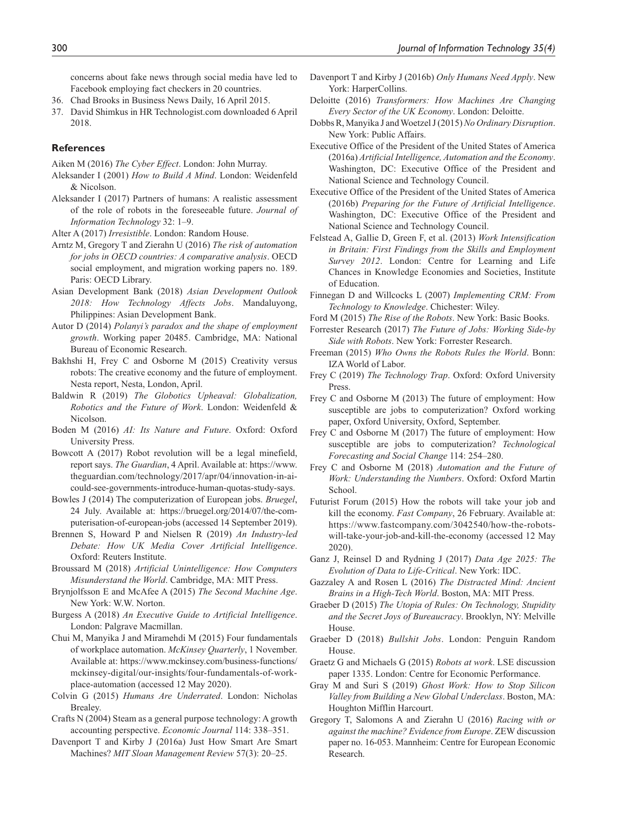concerns about fake news through social media have led to Facebook employing fact checkers in 20 countries.

- 36. Chad Brooks in Business News Daily, 16 April 2015.
- 37. David Shimkus in HR Technologist.com downloaded 6 April 2018.

#### **References**

- Aiken M (2016) *The Cyber Effect*. London: John Murray.
- Aleksander I (2001) *How to Build A Mind*. London: Weidenfeld & Nicolson.
- Aleksander I (2017) Partners of humans: A realistic assessment of the role of robots in the foreseeable future. *Journal of Information Technology* 32: 1–9.
- Alter A (2017) *Irresistible*. London: Random House.
- Arntz M, Gregory T and Zierahn U (2016) *The risk of automation for jobs in OECD countries: A comparative analysis*. OECD social employment, and migration working papers no. 189. Paris: OECD Library.
- Asian Development Bank (2018) *Asian Development Outlook 2018: How Technology Affects Jobs*. Mandaluyong, Philippines: Asian Development Bank.
- Autor D (2014) *Polanyi's paradox and the shape of employment growth*. Working paper 20485. Cambridge, MA: National Bureau of Economic Research.
- Bakhshi H, Frey C and Osborne M (2015) Creativity versus robots: The creative economy and the future of employment. Nesta report, Nesta, London, April.
- Baldwin R (2019) *The Globotics Upheaval: Globalization, Robotics and the Future of Work*. London: Weidenfeld & Nicolson.
- Boden M (2016) *AI: Its Nature and Future*. Oxford: Oxford University Press.
- Bowcott A (2017) Robot revolution will be a legal minefield, report says. *The Guardian*, 4 April. Available at: https://www. theguardian.com/technology/2017/apr/04/innovation-in-aicould-see-governments-introduce-human-quotas-study-says.
- Bowles J (2014) The computerization of European jobs. *Bruegel*, 24 July. Available at: https://bruegel.org/2014/07/the-computerisation-of-european-jobs (accessed 14 September 2019).
- Brennen S, Howard P and Nielsen R (2019) *An Industry-led Debate: How UK Media Cover Artificial Intelligence*. Oxford: Reuters Institute.
- Broussard M (2018) *Artificial Unintelligence: How Computers Misunderstand the World*. Cambridge, MA: MIT Press.
- Brynjolfsson E and McAfee A (2015) *The Second Machine Age*. New York: W.W. Norton.
- Burgess A (2018) *An Executive Guide to Artificial Intelligence*. London: Palgrave Macmillan.
- Chui M, Manyika J and Miramehdi M (2015) Four fundamentals of workplace automation. *McKinsey Quarterly*, 1 November. Available at: https://www.mckinsey.com/business-functions/ mckinsey-digital/our-insights/four-fundamentals-of-workplace-automation (accessed 12 May 2020).
- Colvin G (2015) *Humans Are Underrated*. London: Nicholas Brealey.
- Crafts N (2004) Steam as a general purpose technology: A growth accounting perspective. *Economic Journal* 114: 338–351.
- Davenport T and Kirby J (2016a) Just How Smart Are Smart Machines? *MIT Sloan Management Review* 57(3): 20–25.
- Davenport T and Kirby J (2016b) *Only Humans Need Apply*. New York: HarperCollins.
- Deloitte (2016) *Transformers: How Machines Are Changing Every Sector of the UK Economy*. London: Deloitte.
- Dobbs R, Manyika J and Woetzel J (2015) *No Ordinary Disruption*. New York: Public Affairs.
- Executive Office of the President of the United States of America (2016a) *Artificial Intelligence, Automation and the Economy*. Washington, DC: Executive Office of the President and National Science and Technology Council.
- Executive Office of the President of the United States of America (2016b) *Preparing for the Future of Artificial Intelligence*. Washington, DC: Executive Office of the President and National Science and Technology Council.
- Felstead A, Gallie D, Green F, et al. (2013) *Work Intensification in Britain: First Findings from the Skills and Employment Survey 2012*. London: Centre for Learning and Life Chances in Knowledge Economies and Societies, Institute of Education.
- Finnegan D and Willcocks L (2007) *Implementing CRM: From Technology to Knowledge*. Chichester: Wiley.
- Ford M (2015) *The Rise of the Robots*. New York: Basic Books.
- Forrester Research (2017) *The Future of Jobs: Working Side-by Side with Robots*. New York: Forrester Research.
- Freeman (2015) *Who Owns the Robots Rules the World*. Bonn: IZA World of Labor.
- Frey C (2019) *The Technology Trap*. Oxford: Oxford University Press.
- Frey C and Osborne M (2013) The future of employment: How susceptible are jobs to computerization? Oxford working paper, Oxford University, Oxford, September.
- Frey C and Osborne M (2017) The future of employment: How susceptible are jobs to computerization? *Technological Forecasting and Social Change* 114: 254–280.
- Frey C and Osborne M (2018) *Automation and the Future of Work: Understanding the Numbers*. Oxford: Oxford Martin School.
- Futurist Forum (2015) How the robots will take your job and kill the economy. *Fast Company*, 26 February. Available at: https://www.fastcompany.com/3042540/how-the-robotswill-take-your-job-and-kill-the-economy (accessed 12 May 2020).
- Ganz J, Reinsel D and Rydning J (2017) *Data Age 2025: The Evolution of Data to Life-Critical*. New York: IDC.
- Gazzaley A and Rosen L (2016) *The Distracted Mind: Ancient Brains in a High-Tech World*. Boston, MA: MIT Press.
- Graeber D (2015) *The Utopia of Rules: On Technology, Stupidity and the Secret Joys of Bureaucracy*. Brooklyn, NY: Melville House.
- Graeber D (2018) *Bullshit Jobs*. London: Penguin Random House.
- Graetz G and Michaels G (2015) *Robots at work*. LSE discussion paper 1335. London: Centre for Economic Performance.
- Gray M and Suri S (2019) *Ghost Work: How to Stop Silicon Valley from Building a New Global Underclass*. Boston, MA: Houghton Mifflin Harcourt.
- Gregory T, Salomons A and Zierahn U (2016) *Racing with or against the machine? Evidence from Europe*. ZEW discussion paper no. 16-053. Mannheim: Centre for European Economic Research.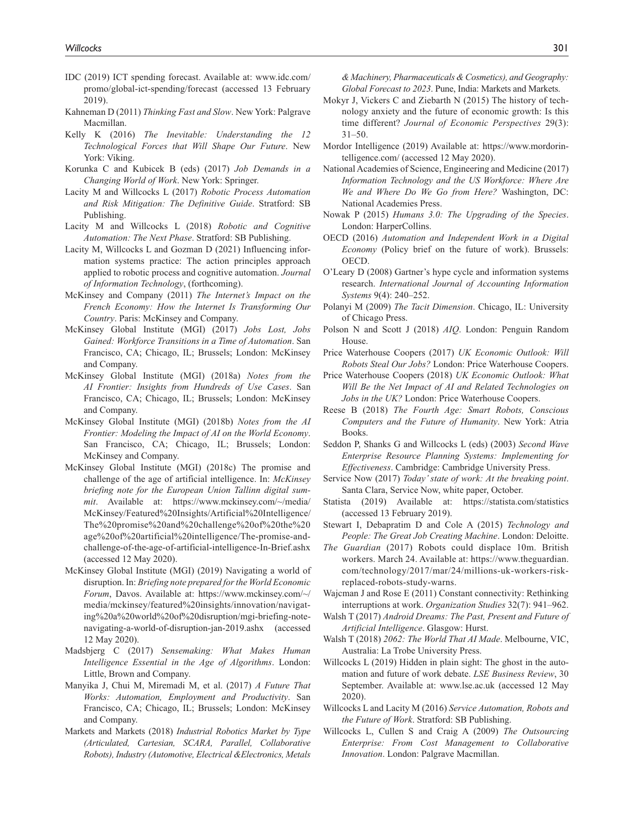- IDC (2019) ICT spending forecast. Available at: www.idc.com/ promo/global-ict-spending/forecast (accessed 13 February 2019).
- Kahneman D (2011) *Thinking Fast and Slow*. New York: Palgrave Macmillan.
- Kelly K (2016) *The Inevitable: Understanding the 12 Technological Forces that Will Shape Our Future*. New York: Viking.
- Korunka C and Kubicek B (eds) (2017) *Job Demands in a Changing World of Work*. New York: Springer.
- Lacity M and Willcocks L (2017) *Robotic Process Automation and Risk Mitigation: The Definitive Guide*. Stratford: SB Publishing.
- Lacity M and Willcocks L (2018) *Robotic and Cognitive Automation: The Next Phase*. Stratford: SB Publishing.
- Lacity M, Willcocks L and Gozman D (2021) Influencing information systems practice: The action principles approach applied to robotic process and cognitive automation. *Journal of Information Technology*, (forthcoming).
- McKinsey and Company (2011) *The Internet's Impact on the French Economy: How the Internet Is Transforming Our Country*. Paris: McKinsey and Company.
- McKinsey Global Institute (MGI) (2017) *Jobs Lost, Jobs Gained: Workforce Transitions in a Time of Automation*. San Francisco, CA; Chicago, IL; Brussels; London: McKinsey and Company.
- McKinsey Global Institute (MGI) (2018a) *Notes from the AI Frontier: Insights from Hundreds of Use Cases*. San Francisco, CA; Chicago, IL; Brussels; London: McKinsey and Company.
- McKinsey Global Institute (MGI) (2018b) *Notes from the AI Frontier: Modeling the Impact of AI on the World Economy*. San Francisco, CA; Chicago, IL; Brussels; London: McKinsey and Company.
- McKinsey Global Institute (MGI) (2018c) The promise and challenge of the age of artificial intelligence. In: *McKinsey briefing note for the European Union Tallinn digital summit*. Available at: https://www.mckinsey.com/~/media/ McKinsey/Featured%20Insights/Artificial%20Intelligence/ The%20promise%20and%20challenge%20of%20the%20 age%20of%20artificial%20intelligence/The-promise-andchallenge-of-the-age-of-artificial-intelligence-In-Brief.ashx (accessed 12 May 2020).
- McKinsey Global Institute (MGI) (2019) Navigating a world of disruption. In: *Briefing note prepared for the World Economic Forum*, Davos. Available at: https://www.mckinsey.com/~/ media/mckinsey/featured%20insights/innovation/navigating%20a%20world%20of%20disruption/mgi-briefing-notenavigating-a-world-of-disruption-jan-2019.ashx (accessed 12 May 2020).
- Madsbjerg C (2017) *Sensemaking: What Makes Human Intelligence Essential in the Age of Algorithms*. London: Little, Brown and Company.
- Manyika J, Chui M, Miremadi M, et al. (2017) *A Future That Works: Automation, Employment and Productivity*. San Francisco, CA; Chicago, IL; Brussels; London: McKinsey and Company.
- Markets and Markets (2018) *Industrial Robotics Market by Type (Articulated, Cartesian, SCARA, Parallel, Collaborative Robots), Industry (Automotive, Electrical &Electronics, Metals*

*& Machinery, Pharmaceuticals & Cosmetics), and Geography: Global Forecast to 2023*. Pune, India: Markets and Markets.

- Mokyr J, Vickers C and Ziebarth N (2015) The history of technology anxiety and the future of economic growth: Is this time different? *Journal of Economic Perspectives* 29(3): 31–50.
- Mordor Intelligence (2019) Available at: https://www.mordorintelligence.com/ (accessed 12 May 2020).
- National Academies of Science, Engineering and Medicine (2017) *Information Technology and the US Workforce: Where Are We and Where Do We Go from Here?* Washington, DC: National Academies Press.
- Nowak P (2015) *Humans 3.0: The Upgrading of the Species*. London: HarperCollins.
- OECD (2016) *Automation and Independent Work in a Digital Economy* (Policy brief on the future of work). Brussels: OECD.
- O'Leary D (2008) Gartner's hype cycle and information systems research. *International Journal of Accounting Information Systems* 9(4): 240–252.
- Polanyi M (2009) *The Tacit Dimension*. Chicago, IL: University of Chicago Press.
- Polson N and Scott J (2018) *AIQ*. London: Penguin Random House.
- Price Waterhouse Coopers (2017) *UK Economic Outlook: Will Robots Steal Our Jobs?* London: Price Waterhouse Coopers.
- Price Waterhouse Coopers (2018) *UK Economic Outlook: What Will Be the Net Impact of AI and Related Technologies on Jobs in the UK?* London: Price Waterhouse Coopers.
- Reese B (2018) *The Fourth Age: Smart Robots, Conscious Computers and the Future of Humanity*. New York: Atria Books.
- Seddon P, Shanks G and Willcocks L (eds) (2003) *Second Wave Enterprise Resource Planning Systems: Implementing for Effectiveness*. Cambridge: Cambridge University Press.
- Service Now (2017) *Today' state of work: At the breaking point*. Santa Clara, Service Now, white paper, October.
- Statista (2019) Available at: https://statista.com/statistics (accessed 13 February 2019).
- Stewart I, Debapratim D and Cole A (2015) *Technology and People: The Great Job Creating Machine*. London: Deloitte.
- *The Guardian* (2017) Robots could displace 10m. British workers. March 24. Available at: https://www.theguardian. com/technology/2017/mar/24/millions-uk-workers-riskreplaced-robots-study-warns.
- Wajcman J and Rose E (2011) Constant connectivity: Rethinking interruptions at work. *Organization Studies* 32(7): 941–962.
- Walsh T (2017) *Android Dreams: The Past, Present and Future of Artificial Intelligence*. Glasgow: Hurst.
- Walsh T (2018) *2062: The World That AI Made*. Melbourne, VIC, Australia: La Trobe University Press.
- Willcocks L (2019) Hidden in plain sight: The ghost in the automation and future of work debate. *LSE Business Review*, 30 September. Available at: www.lse.ac.uk (accessed 12 May 2020).
- Willcocks L and Lacity M (2016) *Service Automation, Robots and the Future of Work*. Stratford: SB Publishing.
- Willcocks L, Cullen S and Craig A (2009) *The Outsourcing Enterprise: From Cost Management to Collaborative Innovation*. London: Palgrave Macmillan.